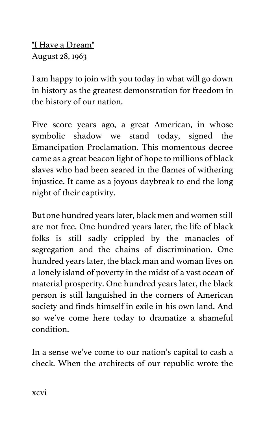"I Have a Dream" August 28, 1963

I am happy to join with you today in what will go down in history as the greatest demonstration for freedom in the history of our nation.

Five score years ago, a great American, in whose symbolic shadow we stand today, signed the Emancipation Proclamation. This momentous decree came as a great beacon light of hope to millions of black slaves who had been seared in the flames of withering injustice. It came as a joyous daybreak to end the long night of their captivity.

But one hundred years later, black men and women still are not free. One hundred years later, the life of black folks is still sadly crippled by the manacles of segregation and the chains of discrimination. One hundred years later, the black man and woman lives on a lonely island of poverty in the midst of a vast ocean of material prosperity. One hundred years later, the black person is still languished in the corners of American society and finds himself in exile in his own land. And so we've come here today to dramatize a shameful condition.

In a sense we've come to our nation's capital to cash a check. When the architects of our republic wrote the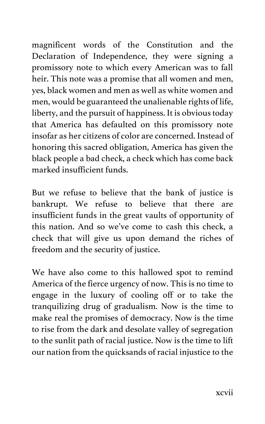magnificent words of the Constitution and the Declaration of Independence, they were signing a promissory note to which every American was to fall heir. This note was a promise that all women and men, yes, black women and men as well as white women and men, would be guaranteed the unalienable rights of life, liberty, and the pursuit of happiness. It is obvious today that America has defaulted on this promissory note insofar as her citizens of color are concerned. Instead of honoring this sacred obligation, America has given the black people a bad check, a check which has come back marked insufficient funds.

But we refuse to believe that the bank of justice is bankrupt. We refuse to believe that there are insufficient funds in the great vaults of opportunity of this nation. And so we've come to cash this check, a check that will give us upon demand the riches of freedom and the security of justice.

We have also come to this hallowed spot to remind America of the fierce urgency of now. This is no time to engage in the luxury of cooling off or to take the tranquilizing drug of gradualism. Now is the time to make real the promises of democracy. Now is the time to rise from the dark and desolate valley of segregation to the sunlit path of racial justice. Now is the time to lift our nation from the quicksands of racial injustice to the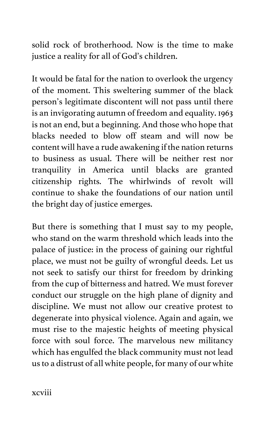solid rock of brotherhood. Now is the time to make justice a reality for all of God's children.

It would be fatal for the nation to overlook the urgency of the moment. This sweltering summer of the black person's legitimate discontent will not pass until there is an invigorating autumn of freedom and equality. 1963 is not an end, but a beginning. And those who hope that blacks needed to blow off steam and will now be content will have a rude awakening if the nation returns to business as usual. There will be neither rest nor tranquility in America until blacks are granted citizenship rights. The whirlwinds of revolt will continue to shake the foundations of our nation until the bright day of justice emerges.

But there is something that I must say to my people, who stand on the warm threshold which leads into the palace of justice: in the process of gaining our rightful place, we must not be guilty of wrongful deeds. Let us not seek to satisfy our thirst for freedom by drinking from the cup of bitterness and hatred. We must forever conduct our struggle on the high plane of dignity and discipline. We must not allow our creative protest to degenerate into physical violence. Again and again, we must rise to the majestic heights of meeting physical force with soul force. The marvelous new militancy which has engulfed the black community must not lead us to a distrust of all white people, for many of our white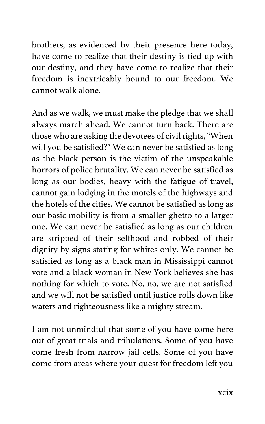brothers, as evidenced by their presence here today, have come to realize that their destiny is tied up with our destiny, and they have come to realize that their freedom is inextricably bound to our freedom. We cannot walk alone.

And as we walk, we must make the pledge that we shall always march ahead. We cannot turn back. There are those who are asking the devotees of civil rights, "When will you be satisfied?" We can never be satisfied as long as the black person is the victim of the unspeakable horrors of police brutality. We can never be satisfied as long as our bodies, heavy with the fatigue of travel, cannot gain lodging in the motels of the highways and the hotels of the cities. We cannot be satisfied as long as our basic mobility is from a smaller ghetto to a larger one. We can never be satisfied as long as our children are stripped of their selfhood and robbed of their dignity by signs stating for whites only. We cannot be satisfied as long as a black man in Mississippi cannot vote and a black woman in New York believes she has nothing for which to vote. No, no, we are not satisfied and we will not be satisfied until justice rolls down like waters and righteousness like a mighty stream.

I am not unmindful that some of you have come here out of great trials and tribulations. Some of you have come fresh from narrow jail cells. Some of you have come from areas where your quest for freedom left you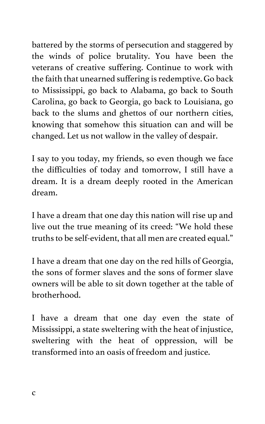battered by the storms of persecution and staggered by the winds of police brutality. You have been the veterans of creative suffering. Continue to work with the faith that unearned suffering is redemptive. Go back to Mississippi, go back to Alabama, go back to South Carolina, go back to Georgia, go back to Louisiana, go back to the slums and ghettos of our northern cities, knowing that somehow this situation can and will be changed. Let us not wallow in the valley of despair.

I say to you today, my friends, so even though we face the difficulties of today and tomorrow, I still have a dream. It is a dream deeply rooted in the American dream.

I have a dream that one day this nation will rise up and live out the true meaning of its creed: "We hold these truths to be self-evident, that all men are created equal."

I have a dream that one day on the red hills of Georgia, the sons of former slaves and the sons of former slave owners will be able to sit down together at the table of brotherhood.

I have a dream that one day even the state of Mississippi, a state sweltering with the heat of injustice, sweltering with the heat of oppression, will be transformed into an oasis of freedom and justice.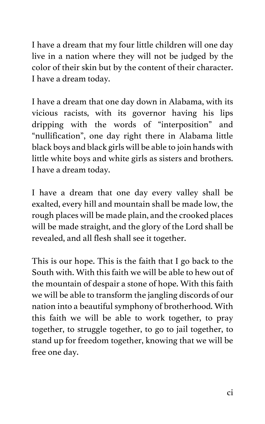I have a dream that my four little children will one day live in a nation where they will not be judged by the color of their skin but by the content of their character. I have a dream today.

I have a dream that one day down in Alabama, with its vicious racists, with its governor having his lips dripping with the words of "interposition" and "nullification", one day right there in Alabama little black boys and black girls will be able to join hands with little white boys and white girls as sisters and brothers. I have a dream today.

I have a dream that one day every valley shall be exalted, every hill and mountain shall be made low, the rough places will be made plain, and the crooked places will be made straight, and the glory of the Lord shall be revealed, and all flesh shall see it together.

This is our hope. This is the faith that I go back to the South with. With this faith we will be able to hew out of the mountain of despair a stone of hope. With this faith we will be able to transform the jangling discords of our nation into a beautiful symphony of brotherhood. With this faith we will be able to work together, to pray together, to struggle together, to go to jail together, to stand up for freedom together, knowing that we will be free one day.